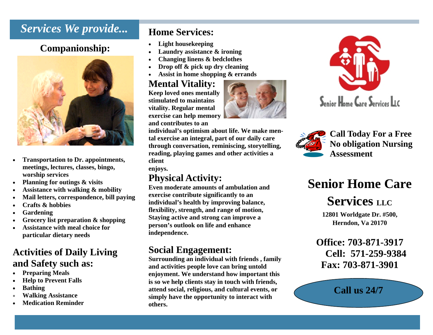### *Services We provide...*

### **Companionship:**



- $\bullet$  **Transportation to Dr. appointments, meetings, lectures, classes, bingo, worship services**
- $\bullet$ **Planning for outings & visits**
- $\bullet$ **Assistance with walking & mobility**
- $\bullet$ **Mail letters, correspondence, bill paying**
- $\bullet$ **Crafts & hobbies**
- $\bullet$ **Gardening**
- $\bullet$ **Grocery list preparation & shopping**
- $\bullet$  **Assistance with meal choice for particular dietary needs**

### **Activities of Daily Living and Safety such as:**

- $\bullet$ **Preparing Meals**
- $\bullet$ **Help to Prevent Falls**
- $\bullet$ **Bathing**
- $\bullet$ **Walking Assistance**
- $\bullet$ **Medication Reminder**

### **Home Services:**

- $\bullet$ **Light housekeeping**
- $\bullet$ **Laundry assistance & ironing**
- $\bullet$ **Changing linens & bedclothes**
- $\bullet$ **Drop off & pick up dry cleaning**
- $\bullet$ **Assist in home shopping & errands**

### **Mental Vitality:**

**Keep loved ones mentally stimulated to maintains vitality. Regular mental exercise can help memory and contributes to an** 



**individual's optimism about life. We make mental exercise an integral, part of our daily care through conversation, reminiscing, storytelling, reading, playing games and other activities a client** 

**enjoys.**

### **Physical Activity:**

**Even moderate amounts of ambulation and exercise contribute significantly to an individual's health by improving balance, flexibility, strength, and range of motion, Staying active and strong can improve a person's outlook on life and enhance independence.** 

### **Social Engagement:**

**Surrounding an individual with friends , family and activities people love can bring untold enjoyment. We understand how important this is so we help clients stay in touch with friends, attend social, religious, and cultural events, or simply have the opportunity to interact with others.** 





## **Senior Home Care**

### **Services LLC**

**12801 Worldgate Dr. #500, Herndon, Va 20170**

**Office: 703-871-3917 Cell: 571-259-9384 Fax: 703-871-3901** 

**Call us 24/7**